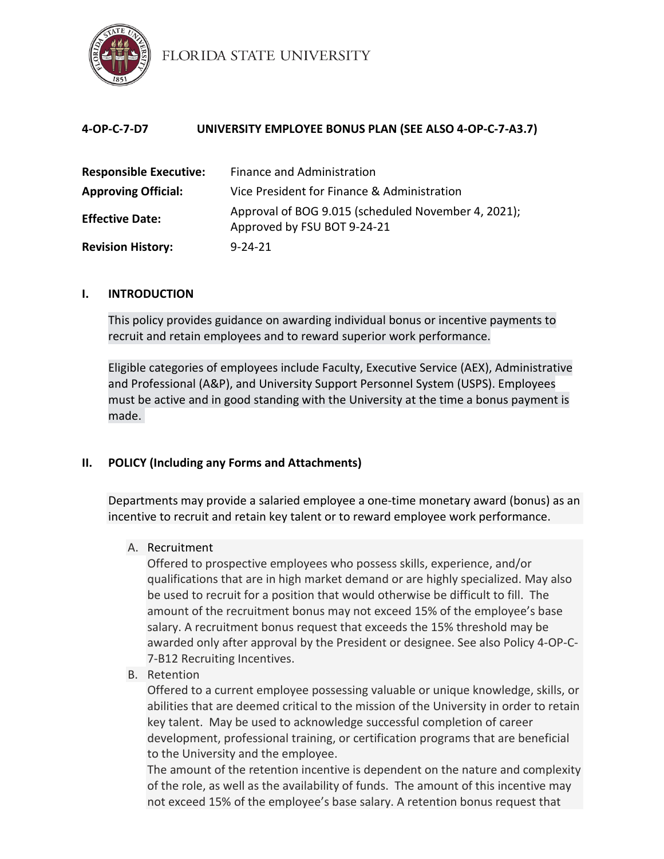

FLORIDA STATE UNIVERSITY

| 4-OP-C-7-D7                   | UNIVERSITY EMPLOYEE BONUS PLAN (SEE ALSO 4-OP-C-7-A3.7)                            |
|-------------------------------|------------------------------------------------------------------------------------|
| <b>Responsible Executive:</b> | <b>Finance and Administration</b>                                                  |
| <b>Approving Official:</b>    | Vice President for Finance & Administration                                        |
| <b>Effective Date:</b>        | Approval of BOG 9.015 (scheduled November 4, 2021);<br>Approved by FSU BOT 9-24-21 |
| <b>Revision History:</b>      | $9 - 24 - 21$                                                                      |

### **I. INTRODUCTION**

This policy provides guidance on awarding individual bonus or incentive payments to recruit and retain employees and to reward superior work performance.

Eligible categories of employees include Faculty, Executive Service (AEX), Administrative and Professional (A&P), and University Support Personnel System (USPS). Employees must be active and in good standing with the University at the time a bonus payment is made.

# **II. POLICY (Including any Forms and Attachments)**

Departments may provide a salaried employee a one-time monetary award (bonus) as an incentive to recruit and retain key talent or to reward employee work performance.

### A. Recruitment

Offered to prospective employees who possess skills, experience, and/or qualifications that are in high market demand or are highly specialized. May also be used to recruit for a position that would otherwise be difficult to fill. The amount of the recruitment bonus may not exceed 15% of the employee's base salary. A recruitment bonus request that exceeds the 15% threshold may be awarded only after approval by the President or designee. See also Policy 4-OP-C-7-B12 Recruiting Incentives.

B. Retention

Offered to a current employee possessing valuable or unique knowledge, skills, or abilities that are deemed critical to the mission of the University in order to retain key talent. May be used to acknowledge successful completion of career development, professional training, or certification programs that are beneficial to the University and the employee.

The amount of the retention incentive is dependent on the nature and complexity of the role, as well as the availability of funds. The amount of this incentive may not exceed 15% of the employee's base salary. A retention bonus request that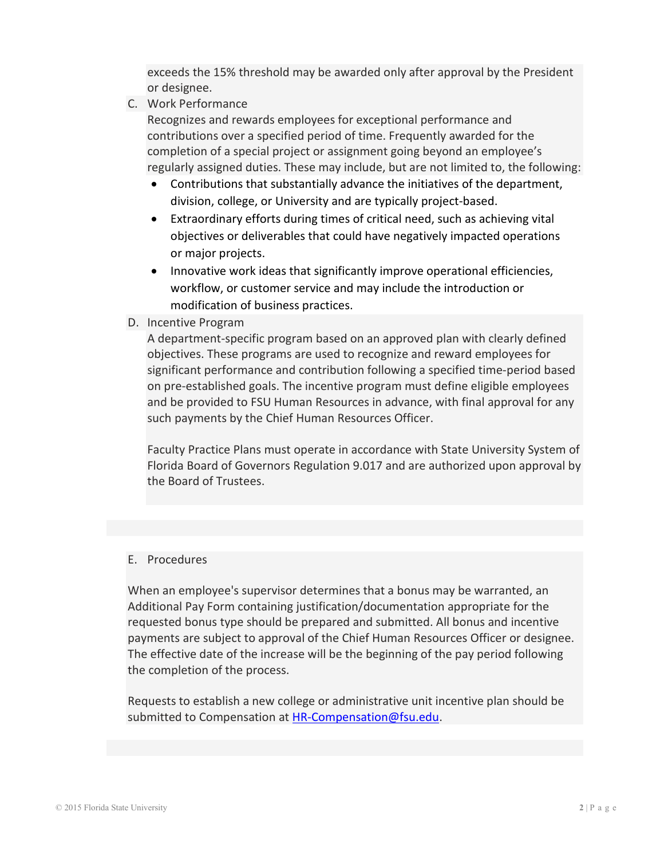exceeds the 15% threshold may be awarded only after approval by the President or designee.

C. Work Performance

Recognizes and rewards employees for exceptional performance and contributions over a specified period of time. Frequently awarded for the completion of a special project or assignment going beyond an employee's regularly assigned duties. These may include, but are not limited to, the following:

- Contributions that substantially advance the initiatives of the department, division, college, or University and are typically project-based.
- Extraordinary efforts during times of critical need, such as achieving vital objectives or deliverables that could have negatively impacted operations or major projects.
- Innovative work ideas that significantly improve operational efficiencies, workflow, or customer service and may include the introduction or modification of business practices.
- D. Incentive Program

A department-specific program based on an approved plan with clearly defined objectives. These programs are used to recognize and reward employees for significant performance and contribution following a specified time-period based on pre-established goals. The incentive program must define eligible employees and be provided to FSU Human Resources in advance, with final approval for any such payments by the Chief Human Resources Officer.

Faculty Practice Plans must operate in accordance with State University System of Florida Board of Governors Regulation 9.017 and are authorized upon approval by the Board of Trustees.

#### E. Procedures

When an employee's supervisor determines that a bonus may be warranted, an Additional Pay Form containing justification/documentation appropriate for the requested bonus type should be prepared and submitted. All bonus and incentive payments are subject to approval of the Chief Human Resources Officer or designee. The effective date of the increase will be the beginning of the pay period following the completion of the process.

Requests to establish a new college or administrative unit incentive plan should be submitted to Compensation at [HR-Compensation@fsu.edu.](mailto:HR-Compensation@fsu.edu)